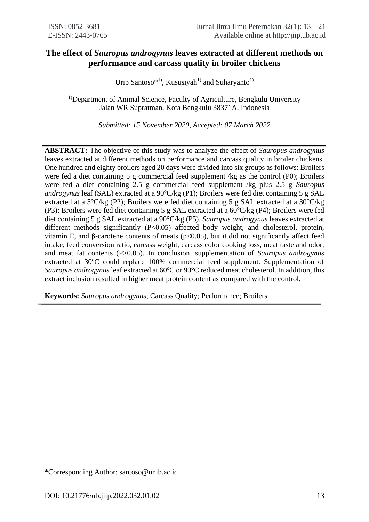# **The effect of** *Sauropus androgynus* **leaves extracted at different methods on performance and carcass quality in broiler chickens**

Urip Santoso\*<sup>1)</sup>, Kususiyah<sup>1)</sup> and Suharyanto<sup>1)</sup>

<sup>1)</sup>Department of Animal Science, Faculty of Agriculture, Bengkulu University Jalan WR Supratman, Kota Bengkulu 38371A, Indonesia

*Submitted: 15 November 2020, Accepted: 07 March 2022*

**ABSTRACT:** The objective of this study was to analyze the effect of *Sauropus androgynus* leaves extracted at different methods on performance and carcass quality in broiler chickens. One hundred and eighty broilers aged 20 days were divided into six groups as follows: Broilers were fed a diet containing 5 g commercial feed supplement /kg as the control (P0); Broilers were fed a diet containing 2.5 g commercial feed supplement /kg plus 2.5 g *Sauropus androgynus* leaf (SAL) extracted at a 90°C/kg (P1); Broilers were fed diet containing 5 g SAL extracted at a 5°C/kg (P2); Broilers were fed diet containing 5 g SAL extracted at a 30°C/kg (P3); Broilers were fed diet containing 5 g SAL extracted at a  $60^{\circ}C/kg$  (P4); Broilers were fed diet containing 5 g SAL extracted at a 90°C/kg (P5). *Sauropus androgynus* leaves extracted at different methods significantly (P<0.05) affected body weight, and cholesterol, protein, vitamin E, and β-carotene contents of meats (p<0.05), but it did not significantly affect feed intake, feed conversion ratio, carcass weight, carcass color cooking loss, meat taste and odor, and meat fat contents (P>0.05). In conclusion, supplementation of *Sauropus androgynus* extracted at  $30^{\circ}$ C could replace 100% commercial feed supplement. Supplementation of *Sauropus androgynus* leaf extracted at 60<sup>o</sup>C or 90<sup>o</sup>C reduced meat cholesterol. In addition, this extract inclusion resulted in higher meat protein content as compared with the control.

**Keywords:** *Sauropus androgynus*; Carcass Quality; Performance; Broilers

<sup>\*</sup>Corresponding Author: santoso@unib.ac.id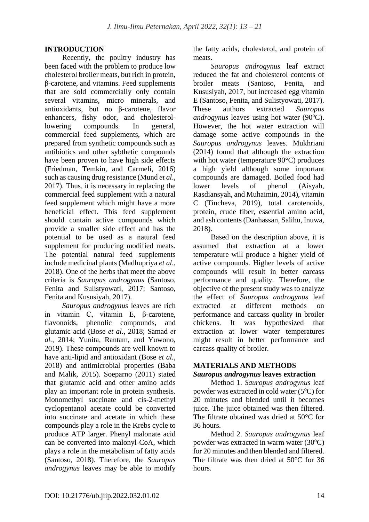## **INTRODUCTION**

Recently, the poultry industry has been faced with the problem to produce low cholesterol broiler meats, but rich in protein, β-carotene, and vitamins. Feed supplements that are sold commercially only contain several vitamins, micro minerals, and antioxidants, but no β-carotene, flavor enhancers, fishy odor, and cholesterollowering compounds. In general, commercial feed supplements, which are prepared from synthetic compounds such as antibiotics and other sybthetic compounds have been proven to have high side effects (Friedman, Temkin, and Carmeli, 2016) such as causing drug resistance (Mund *et al*., 2017). Thus, it is necessary in replacing the commercial feed supplement with a natural feed supplement which might have a more beneficial effect. This feed supplement should contain active compounds which provide a smaller side effect and has the potential to be used as a natural feed supplement for producing modified meats. The potential natural feed supplements include medicinal plants (Madhupriya *et al*., 2018). One of the herbs that meet the above criteria is *Sauropus androgynus* (Santoso, Fenita and Sulistyowati, 2017; Santoso, Fenita and Kususiyah, 2017).

*Sauropus androgynus* leaves are rich in vitamin C, vitamin E, β-carotene, flavonoids, phenolic compounds, and glutamic acid (Bose *et al.*, 2018; Samad *et al.*, 2014; Yunita, Rantam, and Yuwono, 2019). These compounds are well known to have anti-lipid and antioxidant (Bose *et al.*, 2018) and antimicrobial properties (Baba and Malik, 2015). Soeparno (2011) stated that glutamic acid and other amino acids play an important role in protein synthesis. Monomethyl succinate and cis-2-methyl cyclopentanol acetate could be converted into succinate and acetate in which these compounds play a role in the Krebs cycle to produce ATP larger. Phenyl malonate acid can be converted into malonyl-CoA, which plays a role in the metabolism of fatty acids (Santoso, 2018). Therefore, the *Sauropus androgynus* leaves may be able to modify the fatty acids, cholesterol, and protein of meats.

*Sauropus androgynus* leaf extract reduced the fat and cholesterol contents of broiler meats (Santoso, Fenita, and Kususiyah, 2017, but increased egg vitamin E (Santoso, Fenita, and Sulistyowati, 2017). These authors extracted *Sauropus androgynus* leaves using hot water (90<sup>o</sup>C). However, the hot water extraction will damage some active compounds in the *Sauropus androgynus* leaves. Mukhriani (2014) found that although the extraction with hot water (temperature 90°C) produces a high yield although some important compounds are damaged. Boiled food had lower levels of phenol (Aisyah, Rasdiansyah, and Muhaimin, 2014), vitamin C (Tincheva, 2019), total carotenoids, protein, crude fiber, essential amino acid, and ash contents (Danhassan, Salihu, Inuwa, 2018).

Based on the description above, it is assumed that extraction at a lower temperature will produce a higher yield of active compounds. Higher levels of active compounds will result in better carcass performance and quality. Therefore, the objective of the present study was to analyze the effect of *Sauropus androgynus* leaf extracted at different methods on performance and carcass quality in broiler chickens. It was hypothesized that extraction at lower water temperatures might result in better performance and carcass quality of broiler.

## **MATERIALS AND METHODS** *Sauropus androgynus* **leaves extraction**

Method 1. *Sauropus androgynus* leaf powder was extracted in cold water  $(5^{\circ}C)$  for 20 minutes and blended until it becomes juice. The juice obtained was then filtered. The filtrate obtained was dried at 50°C for 36 hours.

Method 2. *Sauropus androgynus* leaf powder was extracted in warm water  $(30^{\circ}C)$ for 20 minutes and then blended and filtered. The filtrate was then dried at 50°C for 36 hours.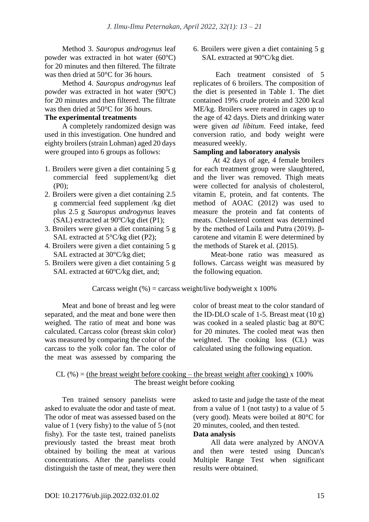Method 3. *Sauropus androgynus* leaf powder was extracted in hot water  $(60^{\circ}C)$ for 20 minutes and then filtered. The filtrate was then dried at 50°C for 36 hours.

Method 4. *Sauropus androgynus* leaf powder was extracted in hot water  $(90^{\circ}C)$ for 20 minutes and then filtered. The filtrate was then dried at 50°C for 36 hours.

# **The experimental treatments**

A completely randomized design was used in this investigation. One hundred and eighty broilers (strain Lohman) aged 20 days were grouped into 6 groups as follows:

- 1. Broilers were given a diet containing 5 g commercial feed supplement/kg diet (P0);
- 2. Broilers were given a diet containing 2.5 g commercial feed supplement /kg diet plus 2.5 g *Sauropus androgynus* leaves (SAL) extracted at  $90^{\circ}$ C/kg diet (P1);
- 3. Broilers were given a diet containing 5 g SAL extracted at  $5^{\circ}$ C/kg diet (P2);
- 4. Broilers were given a diet containing 5 g SAL extracted at 30°C/kg diet;
- 5. Broilers were given a diet containing 5 g SAL extracted at  $60^{\circ}$ C/kg diet, and;

6. Broilers were given a diet containing 5 g SAL extracted at 90°C/kg diet.

Each treatment consisted of 5 replicates of 6 broilers. The composition of the diet is presented in Table 1. The diet contained 19% crude protein and 3200 kcal ME/kg. Broilers were reared in cages up to the age of 42 days. Diets and drinking water were given *ad libitum*. Feed intake, feed conversion ratio, and body weight were measured weekly.

## **Sampling and laboratory analysis**

At 42 days of age, 4 female broilers for each treatment group were slaughtered, and the liver was removed. Thigh meats were collected for analysis of cholesterol, vitamin E, protein, and fat contents. The method of AOAC (2012) was used to measure the protein and fat contents of meats. Cholesterol content was determined by the method of Laila and Putra (2019). βcarotene and vitamin E were determined by the methods of Starek et al. (2015).

Meat-bone ratio was measured as follows. Carcass weight was measured by the following equation.

Carcass weight  $\left(\frac{9}{6}\right)$  = carcass weight/live bodyweight x 100%

Meat and bone of breast and leg were separated, and the meat and bone were then weighed. The ratio of meat and bone was calculated. Carcass color (breast skin color) was measured by comparing the color of the carcass to the yolk color fan. The color of the meat was assessed by comparing the

color of breast meat to the color standard of the ID-DLO scale of 1-5. Breast meat  $(10 g)$ was cooked in a sealed plastic bag at  $80^{\circ}$ C for 20 minutes. The cooled meat was then weighted. The cooking loss (CL) was calculated using the following equation.

 $CL$  (%) = (the breast weight before cooking – the breast weight after cooking) x 100% The breast weight before cooking

Ten trained sensory panelists were asked to evaluate the odor and taste of meat. The odor of meat was assessed based on the value of 1 (very fishy) to the value of 5 (not fishy). For the taste test, trained panelists previously tasted the breast meat broth obtained by boiling the meat at various concentrations. After the panelists could distinguish the taste of meat, they were then asked to taste and judge the taste of the meat from a value of 1 (not tasty) to a value of 5 (very good). Meats were boiled at 80°C for 20 minutes, cooled, and then tested.

# **Data analysis**

All data were analyzed by ANOVA and then were tested using Duncan's Multiple Range Test when significant results were obtained.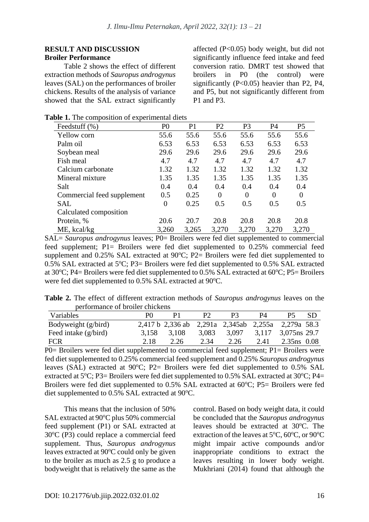## **RESULT AND DISCUSSION Broiler Performance**

Table 2 shows the effect of different extraction methods of *Sauropus androgynus* leaves (SAL) on the performances of broiler chickens. Results of the analysis of variance showed that the SAL extract significantly affected (P<0.05) body weight, but did not significantly influence feed intake and feed conversion ratio. DMRT test showed that broilers in P0 (the control) were significantly  $(P<0.05)$  heavier than P2, P4, and P5, but not significantly different from P1 and P3.

| Feedstuff $(\% )$          | P <sub>0</sub> | P <sub>1</sub> | P <sub>2</sub> | P <sub>3</sub> | <b>P4</b> | P <sub>5</sub> |
|----------------------------|----------------|----------------|----------------|----------------|-----------|----------------|
| Yellow corn                | 55.6           | 55.6           | 55.6           | 55.6           | 55.6      | 55.6           |
| Palm oil                   | 6.53           | 6.53           | 6.53           | 6.53           | 6.53      | 6.53           |
| Soybean meal               | 29.6           | 29.6           | 29.6           | 29.6           | 29.6      | 29.6           |
| Fish meal                  | 4.7            | 4.7            | 4.7            | 4.7            | 4.7       | 4.7            |
| Calcium carbonate          | 1.32           | 1.32           | 1.32           | 1.32           | 1.32      | 1.32           |
| Mineral mixture            | 1.35           | 1.35           | 1.35           | 1.35           | 1.35      | 1.35           |
| Salt                       | 0.4            | 0.4            | 0.4            | 0.4            | 0.4       | 0.4            |
| Commercial feed supplement | 0.5            | 0.25           | $\Omega$       | $\Omega$       | $\Omega$  | $\Omega$       |
| SAL                        | $\theta$       | 0.25           | 0.5            | 0.5            | 0.5       | 0.5            |
| Calculated composition     |                |                |                |                |           |                |
| Protein, %                 | 20.6           | 20.7           | 20.8           | 20.8           | 20.8      | 20.8           |
| ME, kcal/kg                | 3,260          | 3,265          | 3,270          | 3,270          | 3,270     | 3,270          |

SAL= *Sauropus androgynus* leaves; P0= Broilers were fed diet supplemented to commercial feed supplement; P1= Broilers were fed diet supplemented to 0.25% commercial feed supplement and  $0.25\%$  SAL extracted at 90 $^{\circ}$ C; P2= Broilers were fed diet supplemented to 0.5% SAL extracted at 5°C; P3= Broilers were fed diet supplemented to 0.5% SAL extracted at 30 $^{\circ}$ C; P4= Broilers were fed diet supplemented to 0.5% SAL extracted at 60 $^{\circ}$ C; P5= Broilers were fed diet supplemented to 0.5% SAL extracted at 90°C.

|                                 |  |  |  | <b>Table 2.</b> The effect of different extraction methods of <i>Sauropus androgynus</i> leaves on the |  |  |
|---------------------------------|--|--|--|--------------------------------------------------------------------------------------------------------|--|--|
| performance of broiler chickens |  |  |  |                                                                                                        |  |  |

| Variables              | PO.   |                                                    | P <sub>2</sub> | P3.                             | P4   |              | -SD |
|------------------------|-------|----------------------------------------------------|----------------|---------------------------------|------|--------------|-----|
| Bodyweight (g/bird)    |       | 2,417 b 2,336 ab 2,291a 2,345ab 2,255a 2,279a 58.3 |                |                                 |      |              |     |
| Feed intake $(g/bird)$ | 3,158 | 3,108                                              | 3,083          | $3,097$ $3,117$ $3,075$ ns 29.7 |      |              |     |
| <b>FCR</b>             | 2.18  | 2.26                                               | 2.34           | 2.26                            | 2.41 | 2.35 ns 0.08 |     |

P0= Broilers were fed diet supplemented to commercial feed supplement; P1= Broilers were fed diet supplemented to 0.25% commercial feed supplement and 0.25% *Sauropus androgynus*  leaves (SAL) extracted at  $90^{\circ}$ C; P2= Broilers were fed diet supplemented to 0.5% SAL extracted at  $5^{\circ}$ C; P3= Broilers were fed diet supplemented to 0.5% SAL extracted at 30 $^{\circ}$ C; P4= Broilers were fed diet supplemented to  $0.5\%$  SAL extracted at  $60^{\circ}$ C; P5= Broilers were fed diet supplemented to  $0.5\%$  SAL extracted at 90 $^{\circ}$ C.

This means that the inclusion of 50% SAL extracted at 90°C plus 50% commercial feed supplement (P1) or SAL extracted at  $30^{\circ}$ C (P3) could replace a commercial feed supplement. Thus, *Sauropus androgynus* leaves extracted at  $90^{\circ}$ C could only be given to the broiler as much as 2.5 g to produce a bodyweight that is relatively the same as the control. Based on body weight data, it could be concluded that the *Sauropus androgynus*  leaves should be extracted at  $30^{\circ}$ C. The extraction of the leaves at  $5^{\circ}$ C,  $60^{\circ}$ C, or  $90^{\circ}$ C might impair active compounds and/or inappropriate conditions to extract the leaves resulting in lower body weight. Mukhriani (2014) found that although the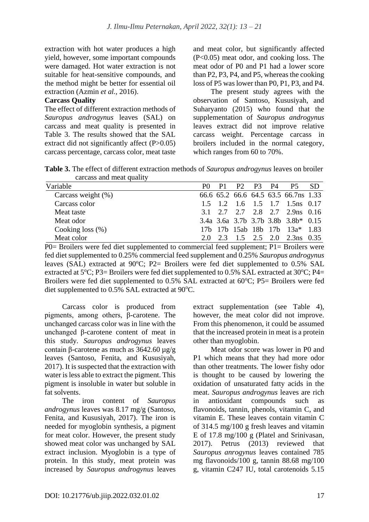extraction with hot water produces a high yield, however, some important compounds were damaged. Hot water extraction is not suitable for heat-sensitive compounds, and the method might be better for essential oil extraction (Azmin *et al.*, 2016).

#### **Carcass Quality**

The effect of different extraction methods of *Sauropus androgynus* leaves (SAL) on carcass and meat quality is presented in Table 3. The results showed that the SAL extract did not significantly affect (P>0.05) carcass percentage, carcass color, meat taste and meat color, but significantly affected (P<0.05) meat odor, and cooking loss. The meat odor of P0 and P1 had a lower score than P2, P3, P4, and P5, whereas the cooking loss of P5 was lower than P0, P1, P3, and P4.

The present study agrees with the observation of Santoso, Kususiyah, and Suharyanto (2015) who found that the supplementation of *Sauropus androgynus* leaves extract did not improve relative carcass weight. Percentage carcass in broilers included in the normal category, which ranges from 60 to 70%.

**Table 3.** The effect of different extraction methods of *Sauropus androgynus* leaves on broiler carcass and meat quality

| Variable              | PO. | P1 | P <sub>2</sub> P <sub>3</sub> P <sub>4</sub> P <sub>5</sub> |  |                                               | -SD |
|-----------------------|-----|----|-------------------------------------------------------------|--|-----------------------------------------------|-----|
| Carcass weight $(\%)$ |     |    |                                                             |  | 66.6 65.2 66.6 64.5 63.5 66.7 ns 1.33         |     |
| Carcass color         |     |    |                                                             |  | $1.5$ $1.2$ $1.6$ $1.5$ $1.7$ $1.5$ ns $0.17$ |     |
| Meat taste            |     |    |                                                             |  | 3.1 2.7 2.7 2.8 2.7 2.9 ns 0.16               |     |
| Meat odor             |     |    |                                                             |  | 3.4a 3.6a 3.7b 3.7b 3.8b 3.8b* 0.15           |     |
| Cooking loss $(\%)$   |     |    |                                                             |  | 17b 17b 15ab 18b 17b 13a* 1.83                |     |
| Meat color            | 20  |    |                                                             |  | 2.3 1.5 2.5 2.0 2.3 ns 0.35                   |     |

P0= Broilers were fed diet supplemented to commercial feed supplement; P1= Broilers were fed diet supplemented to 0.25% commercial feed supplement and 0.25% *Sauropus androgynus*  leaves (SAL) extracted at  $90^{\circ}$ C; P2= Broilers were fed diet supplemented to 0.5% SAL extracted at  $5^{\circ}$ C; P3= Broilers were fed diet supplemented to 0.5% SAL extracted at 30 $^{\circ}$ C; P4= Broilers were fed diet supplemented to  $0.5\%$  SAL extracted at  $60^{\circ}$ C; P5= Broilers were fed diet supplemented to  $0.5\%$  SAL extracted at  $90\degree$ C.

Carcass color is produced from pigments, among others, β-carotene. The unchanged carcass color was in line with the unchanged β-carotene content of meat in this study. *Sauropus androgynus* leaves contain β-carotene as much as 3642.60 µg/g leaves (Santoso, Fenita, and Kususiyah, 2017). It is suspected that the extraction with water is less able to extract the pigment. This pigment is insoluble in water but soluble in fat solvents.

The iron content of *Sauropus androgynus* leaves was 8.17 mg/g (Santoso, Fenita, and Kususiyah, 2017). The iron is needed for myoglobin synthesis, a pigment for meat color. However, the present study showed meat color was unchanged by SAL extract inclusion. Myoglobin is a type of protein. In this study, meat protein was increased by *Sauropus androgynus* leaves extract supplementation (see Table 4), however, the meat color did not improve. From this phenomenon, it could be assumed that the increased protein in meat is a protein other than myoglobin.

Meat odor score was lower in P0 and P1 which means that they had more odor than other treatments. The lower fishy odor is thought to be caused by lowering the oxidation of unsaturated fatty acids in the meat. *Sauropus androgynus* leaves are rich in antioxidant compounds such as flavonoids, tannin, phenols, vitamin C, and vitamin E. These leaves contain vitamin C of 314.5 mg/100 g fresh leaves and vitamin E of 17.8 mg/100 g (Platel and Srinivasan, 2017). Petrus (2013) reviewed that *Sauropus anrogynus* leaves contained 785 mg flavonoids/100 g, tannin 88.68 mg/100 g, vitamin C247 IU, total carotenoids 5.15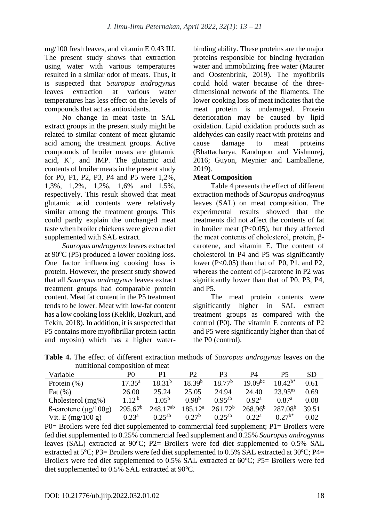mg/100 fresh leaves, and vitamin E 0.43 IU. The present study shows that extraction using water with various temperatures resulted in a similar odor of meats. Thus, it is suspected that *Sauropus androgynus* leaves extraction at various water temperatures has less effect on the levels of compounds that act as antioxidants.

No change in meat taste in SAL extract groups in the present study might be related to similar content of meat glutamic acid among the treatment groups. Active compounds of broiler meats are glutamic acid, K<sup>+</sup> , and IMP. The glutamic acid contents of broiler meats in the present study for P0, P1, P2, P3, P4 and P5 were 1,2%, 1,3%, 1,2%, 1,2%, 1,6% and 1,5%, respectively. This result showed that meat glutamic acid contents were relatively similar among the treatment groups. This could partly explain the unchanged meat taste when broiler chickens were given a diet supplemented with SAL extract.

*Sauropus androgynus* leaves extracted at  $90^{\circ}$ C (P5) produced a lower cooking loss. One factor influencing cooking loss is protein. However, the present study showed that all *Sauropus androgynus* leaves extract treatment groups had comparable protein content. Meat fat content in the P5 treatment tends to be lower. Meat with low-fat content has a low cooking loss (Keklik, Bozkurt, and Tekin, 2018). In addition, it is suspected that P5 contains more myofibrillar protein (actin and myosin) which has a higher waterbinding ability. These proteins are the major proteins responsible for binding hydration water and immobilizing free water (Maurer and Oostenbrink, 2019). The myofibrils could hold water because of the threedimensional network of the filaments. The lower cooking loss of meat indicates that the meat protein is undamaged. Protein deterioration may be caused by lipid oxidation. Lipid oxidation products such as aldehydes can easily react with proteins and cause damage to meat proteins (Bhattacharya, Kandupon and Vishnurej, 2016; Guyon, Meynier and Lamballerie, 2019).

# **Meat Composition**

Table 4 presents the effect of different extraction methods of *Sauropus androgynus* leaves (SAL) on meat composition. The experimental results showed that the treatments did not affect the contents of fat in broiler meat  $(P<0.05)$ , but they affected the meat contents of cholesterol, protein, βcarotene, and vitamin E. The content of cholesterol in P4 and P5 was significantly lower (P<0.05) than that of P0, P1, and P2, whereas the content of β-carotene in P2 was significantly lower than that of P0, P3, P4, and P5.

The meat protein contents were significantly higher in SAL extract treatment groups as compared with the control (P0). The vitamin E contents of P2 and P5 were significantly higher than that of the P0 (control).

**Table 4.** The effect of different extraction methods of *Sauropus androgynus* leaves on the nutritional composition of meat

| Variable                          | P0              | P1             | P2                 | P3                  | P4                | Р5                | SD    |
|-----------------------------------|-----------------|----------------|--------------------|---------------------|-------------------|-------------------|-------|
| Protein $(\% )$                   | $17.35^{\rm a}$ | $18.31^{b}$    | 18.39 <sup>b</sup> | $18.77^{b}$         | $19.09^{bc}$      | $18.42^{b*}$      | 0.61  |
| Fat $(\% )$                       | 26.00           | 25.24          | 25.05              | 24.94               | 24.40             | $23.95^{ns}$      | 0.69  |
| Cholesterol $(mg\%)$              | $1.12^{b}$      | $1.05^{\rm b}$ | 0.98 <sup>b</sup>  | $0.95^{ab}$         | 0.92 <sup>a</sup> | 0.87 <sup>a</sup> | 0.08  |
| $\beta$ -carotene ( $\mu$ g/100g) | $295.67^b$      | $248.17^{ab}$  | $185.12^a$         | 261.72 <sup>b</sup> | $268.96^b$        | $287.08^{b}$      | 39.51 |
| Vit. E $(mg/100 g)$               | $0.23^{\rm a}$  | $0.25^{ab}$    | 0.27 <sup>b</sup>  | $0.25^{ab}$         | 0.22 <sup>a</sup> | $0.27^{b*}$       | 0.02  |

P0= Broilers were fed diet supplemented to commercial feed supplement; P1= Broilers were fed diet supplemented to 0.25% commercial feed supplement and 0.25% *Sauropus androgynus*  leaves (SAL) extracted at  $90^{\circ}$ C; P2= Broilers were fed diet supplemented to 0.5% SAL extracted at 5°C; P3= Broilers were fed diet supplemented to 0.5% SAL extracted at 30°C; P4= Broilers were fed diet supplemented to  $0.5\%$  SAL extracted at  $60^{\circ}$ C; P5= Broilers were fed diet supplemented to  $0.5\%$  SAL extracted at 90 $^{\circ}$ C.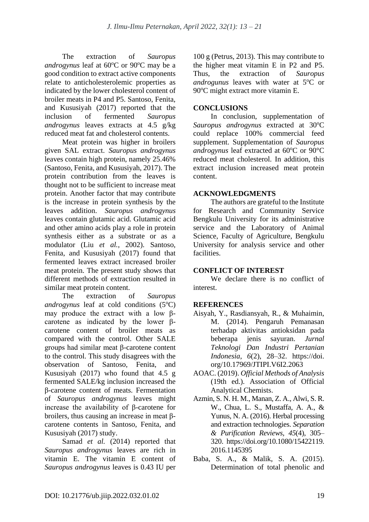The extraction of *Sauropus androgynus* leaf at  $60^{\circ}$ C or  $90^{\circ}$ C may be a good condition to extract active components relate to anticholesterolemic properties as indicated by the lower cholesterol content of broiler meats in P4 and P5. Santoso, Fenita, and Kususiyah (2017) reported that the inclusion of fermented *Sauropus androgynus* leaves extracts at 4.5 g/kg reduced meat fat and cholesterol contents.

Meat protein was higher in broilers given SAL extract. *Sauropus androgynus* leaves contain high protein, namely 25.46% (Santoso, Fenita, and Kususiyah, 2017). The protein contribution from the leaves is thought not to be sufficient to increase meat protein. Another factor that may contribute is the increase in protein synthesis by the leaves addition. *Sauropus androgynus* leaves contain glutamic acid. Glutamic acid and other amino acids play a role in protein synthesis either as a substrate or as a modulator (Liu *et al.*, 2002). Santoso, Fenita, and Kususiyah (2017) found that fermented leaves extract increased broiler meat protein. The present study shows that different methods of extraction resulted in similar meat protein content.

The extraction of *Sauropus androgynus* leaf at cold conditions  $(5^{\circ}C)$ may produce the extract with a low βcarotene as indicated by the lower βcarotene content of broiler meats as compared with the control. Other SALE groups had similar meat β-carotene content to the control. This study disagrees with the observation of Santoso, Fenita, and Kususiyah (2017) who found that 4.5 g fermented SALE/kg inclusion increased the β-carotene content of meats. Fermentation of *Sauropus androgynus* leaves might increase the availability of β-carotene for broilers, thus causing an increase in meat βcarotene contents in Santoso, Fenita, and Kususiyah (2017) study.

Samad *et al.* (2014) reported that *Sauropus androgynus* leaves are rich in vitamin E. The vitamin E content of *Sauropus androgynus* leaves is 0.43 IU per

100 g (Petrus, 2013). This may contribute to the higher meat vitamin E in P2 and P5. Thus, the extraction of *Sauropus androgunus* leaves with water at 5<sup>o</sup>C or 90°C might extract more vitamin E.

# **CONCLUSIONS**

In conclusion, supplementation of Sauropus androgynus extracted at 30°C could replace 100% commercial feed supplement. Supplementation of *Sauropus androgynus* leaf extracted at  $60^{\circ}$ C or  $90^{\circ}$ C reduced meat cholesterol. In addition, this extract inclusion increased meat protein content.

# **ACKNOWLEDGMENTS**

The authors are grateful to the Institute for Research and Community Service Bengkulu University for its administrative service and the Laboratory of Animal Science, Faculty of Agriculture, Bengkulu University for analysis service and other facilities.

## **CONFLICT OF INTEREST**

We declare there is no conflict of interest.

## **REFERENCES**

- Aisyah, Y., Rasdiansyah, R., & Muhaimin, M. (2014). Pengaruh Pemanasan terhadap aktivitas antioksidan pada beberapa jenis sayuran. *Jurnal Teknologi Dan Industri Pertanian Indonesia*, *6*(2), 28–32. https://doi. org/10.17969/JTIPI.V6I2.2063
- AOAC. (2019). *Official Methods of Analysis* (19th ed.). Association of Official Analytical Chemists.
- Azmin, S. N. H. M., Manan, Z. A., Alwi, S. R. W., Chua, L. S., Mustaffa, A. A., & Yunus, N. A. (2016). Herbal processing and extraction technologies. *Separation & Purification Reviews*, *45*(4), 305– 320. https://doi.org/10.1080/15422119. 2016.1145395
- Baba, S. A., & Malik, S. A. (2015). Determination of total phenolic and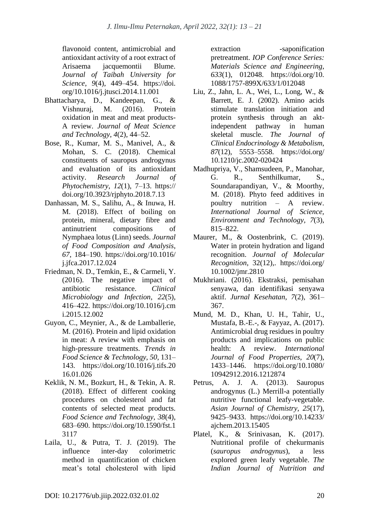flavonoid content, antimicrobial and antioxidant activity of a root extract of Arisaema jacquemontii Blume. *Journal of Taibah University for Science*, *9*(4), 449–454. https://doi. org/10.1016/j.jtusci.2014.11.001

- Bhattacharya, D., Kandeepan, G., & Vishnuraj, M. (2016). Protein oxidation in meat and meat products-A review. *Journal of Meat Science and Technology*, *4*(2), 44–52.
- Bose, R., Kumar, M. S., Manivel, A., & Mohan, S. C. (2018). Chemical constituents of sauropus androgynus and evaluation of its antioxidant activity. *Research Journal of Phytochemistry*, *12*(1), 7–13. https:// doi.org/10.3923/rjphyto.2018.7.13
- Danhassan, M. S., Salihu, A., & Inuwa, H. M. (2018). Effect of boiling on protein, mineral, dietary fibre and antinutrient compositions of Nymphaea lotus (Linn) seeds. *Journal of Food Composition and Analysis*, *67*, 184–190. https://doi.org/10.1016/ j.jfca.2017.12.024
- Friedman, N. D., Temkin, E., & Carmeli, Y. (2016). The negative impact of antibiotic resistance. *Clinical Microbiology and Infection*, *22*(5), 416–422. https://doi.org/10.1016/j.cm i.2015.12.002
- Guyon, C., Meynier, A., & de Lamballerie, M. (2016). Protein and lipid oxidation in meat: A review with emphasis on high-pressure treatments. *Trends in Food Science & Technology*, *50*, 131– 143. https://doi.org/10.1016/j.tifs.20 16.01.026
- Keklik, N. M., Bozkurt, H., & Tekin, A. R. (2018). Effect of different cooking procedures on cholesterol and fat contents of selected meat products. *Food Science and Technology*, *38*(4), 683–690. https://doi.org/10.1590/fst.1 3117
- Laila, U., & Putra, T. J. (2019). The influence inter-day colorimetric method in quantification of chicken meat's total cholesterol with lipid

extraction -saponification pretreatment. *IOP Conference Series: Materials Science and Engineering*, *633*(1), 012048. https://doi.org/10. 1088/1757-899X/633/1/012048

- Liu, Z., Jahn, L. A., Wei, L., Long, W., & Barrett, E. J. (2002). Amino acids stimulate translation initiation and protein synthesis through an aktindependent pathway in human skeletal muscle. *The Journal of Clinical Endocrinology & Metabolism*, *87*(12), 5553–5558. https://doi.org/ 10.1210/jc.2002-020424
- Madhupriya, V., Shamsudeen, P., Manohar, G. R., Senthilkumar, S., Soundarapandiyan, V., & Moorthy, M. (2018). Phyto feed additives in poultry nutrition – A review. *International Journal of Science, Environment and Technology*, *7*(3), 815–822.
- Maurer, M., & Oostenbrink, C. (2019). Water in protein hydration and ligand recognition. *Journal of Molecular Recognition*, 32(12),. https://doi.org/ 10.1002/jmr.2810
- Mukhriani. (2016). Ekstraksi, pemisahan senyawa, dan identifikasi senyawa aktif. *Jurnal Kesehatan*, *7*(2), 361– 367.
- Mund, M. D., Khan, U. H., Tahir, U., Mustafa, B.-E.-, & Fayyaz, A. (2017). Antimicrobial drug residues in poultry products and implications on public health: A review. *International Journal of Food Properties*, *20*(7), 1433–1446. https://doi.org/10.1080/ 10942912.2016.1212874
- Petrus, A. J. A. (2013). Sauropus androgynus (L.) Merrill-a potentially nutritive functional leafy-vegetable. *Asian Journal of Chemistry*, *25*(17), 9425–9433. https://doi.org/10.14233/ ajchem.2013.15405
- Platel, K., & Srinivasan, K. (2017). Nutritional profile of chekurmanis (*sauropus androgynus*), a less explored green leafy vegetable. *The Indian Journal of Nutrition and*